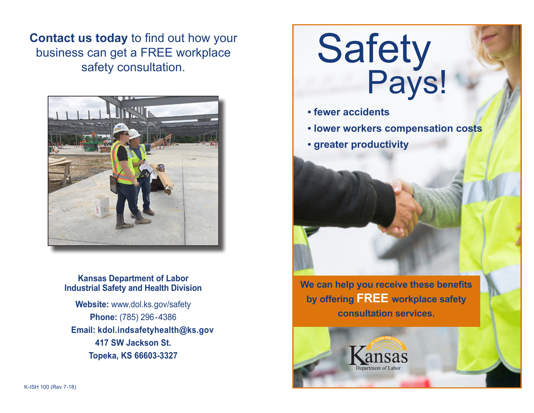**Contact us today** to find out how your business can get a FREE workplace safety consultation.



**Kansas Department of Labor Industrial Safety and Health Division**

**Website:** www.dol.ks.gov/safety **Phone:** (785) 296-4386  **Email: kdol.indsafetyhealth@ks.gov 417 SW Jackson St. Topeka, KS 66603-3327**

# Safety<br>Pays!

- **fewer accidents**
- **lower workers compensation costs**
- **greater productivity**

**We can help you receive these benefits by offering FREE workplace safety consultation services.**

isas

Denartment of Labo